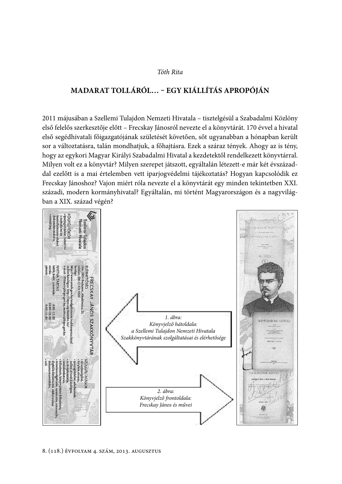### Tóth Rita

# MADARAT TOLLÁRÓL... - EGY KIÁLLÍTÁS APROPÓJÁN

2011 májusában a Szellemi Tulajdon Nemzeti Hivatala - tisztelgésül a Szabadalmi Közlöny első felelős szerkesztője előtt – Frecskay Jánosról nevezte el a könyvtárát. 170 évvel a hivatal első segédhivatali főigazgatójának születését követően, sőt ugyanabban a hónapban került sor a változtatásra, talán mondhatjuk, a főhajtásra. Ezek a száraz tények. Ahogy az is tény, hogy az egykori Magyar Királyi Szabadalmi Hivatal a kezdetektől rendelkezett könyvtárral. Milyen volt ez a könyvtár? Milyen szerepet játszott, egyáltalán létezett-e már két évszázaddal ezelőtt is a mai értelemben vett iparjogvédelmi tájékoztatás? Hogyan kapcsolódik ez Frecskay Jánoshoz? Vajon miért róla nevezte el a könyvtárát egy minden tekintetben XXI. századi, modern kormányhivatal? Egyáltalán, mi történt Magyarországon és a nagyvilágban a XIX. század végén?

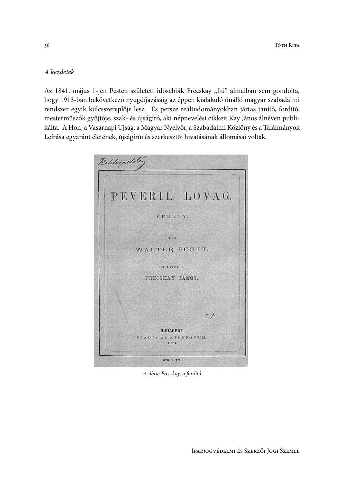## A kezdetek

Az 1841. május 1-jén Pesten született idősebbik Frecskay "fiú" álmaiban sem gondolta, hogy 1913-ban bekövetkező nyugdíjazásáig az éppen kialakuló önálló magyar szabadalmi rendszer egyik kulcsszereplője lesz. És persze reáltudományokban jártas tanító, fordító, mesterműszók gyűjtője, szak- és újságíró, aki népnevelési cikkeit Kay János álnéven publikálta. A Hon, a Vasárnapi Ujság, a Magyar Nyelvőr, a Szabadalmi Közlöny és a Találmányok Leírása egyaránt életének, újságírói és szerkesztői hivatásának állomásai voltak.



3. ábra: Frecskay, a fordító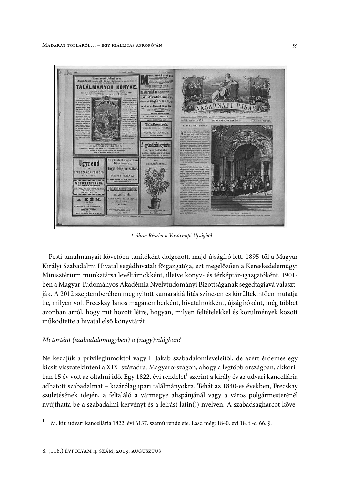

4. ábra: Részlet a Vasárnapi Ujságból

Pesti tanulmányait követően tanítóként dolgozott, majd újságíró lett. 1895-től a Magyar Királyi Szabadalmi Hivatal segédhivatali főigazgatója, ezt megelőzően a Kereskedelemügyi Minisztérium munkatársa levéltárnokként, illetve könyv- és térképtár-igazgatóként. 1901ben a Magyar Tudományos Akadémia Nyelvtudományi Bizottságának segédtagjává választják. A 2012 szeptemberében megnyitott kamarakiállítás színesen és körültekintően mutatja be, milyen volt Frecskay János magánemberként, hivatalnokként, újságíróként, még többet azonban arról, hogy mit hozott létre, hogyan, milyen feltételekkel és körülmények között működtette a hivatal első könyvtárát.

#### Mi történt (szabadalomügyben) a (nagy)világban?

Ne kezdjük a privilégiumoktól vagy I. Jakab szabadalomleveleitől, de azért érdemes egy kicsit visszatekinteni a XIX. századra. Magyarországon, ahogy a legtöbb országban, akkoriban 15 év volt az oltalmi idő. Egy 1822. évi rendelet<sup>1</sup> szerint a király és az udvari kancellária adhatott szabadalmat – kizárólag ipari találmányokra. Tehát az 1840-es években, Frecskay születésének idején, a feltaláló a vármegye alispánjánál vagy a város polgármesterénél nyújthatta be a szabadalmi kérvényt és a leírást latin(!) nyelven. A szabadságharcot köve-

M. kir. udvari kancellária 1822. évi 6137. számú rendelete. Lásd még: 1840. évi 18. t.-c. 66. §.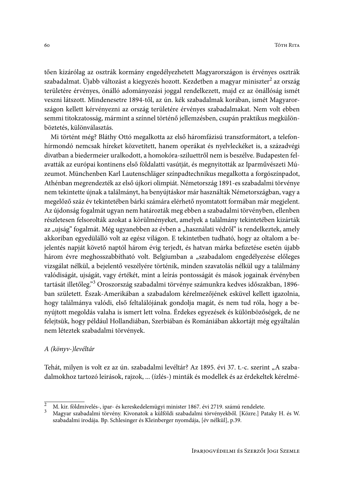tően kizárólag az osztrák kormány engedélyezhetett Magyarországon is érvényes osztrák szabadalmat. Újabb változást a kiegyezés hozott. Kezdetben a magyar miniszter<sup>2</sup> az ország területére érvényes, önálló adományozási joggal rendelkezett, majd ez az önállóság ismét veszni látszott. Mindenesetre 1894-től, az ún. kék szabadalmak korában, ismét Magyarországon kellett kérvényezni az ország területére érvényes szabadalmakat. Nem volt ebben semmi titokzatosság, mármint a színnel történő jellemzésben, csupán praktikus megkülönböztetés, különyálasztás.

Mi történt még? Bláthy Ottó megalkotta az első háromfázisú transzformátort, a telefonhírmondó nemcsak híreket közvetített, hanem operákat és nyelvleckéket is, a századvégi divatban a biedermeier uralkodott, a homokóra-sziluettről nem is beszélve. Budapesten felavatták az európai kontinens első földalatti vasútját, és megnyitották az Iparművészeti Múzeumot. Münchenben Karl Lautenschläger színpadtechnikus megalkotta a forgószínpadot, Athénban megrendezték az első újkori olimpiát. Németország 1891-es szabadalmi törvénye nem tekintette újnak a találmányt, ha benyújtáskor már használták Németországban, vagy a megelőző száz év tekintetében bárki számára elérhető nyomtatott formában már megjelent. Az újdonság fogalmát ugyan nem határozták meg ebben a szabadalmi törvényben, ellenben részletesen felsorolták azokat a körülményeket, amelyek a találmány tekintetében kizárták az "ujság" fogalmát. Még ugyanebben az évben a "használati védről" is rendelkeztek, amely akkoriban egyedülálló volt az egész világon. E tekintetben tudható, hogy az oltalom a bejelentés napját követő naptól három évig terjedt, és hatvan márka befizetése esetén újabb három évre meghosszabbítható volt. Belgiumban a "szabadalom engedélyezése előleges vizsgálat nélkül, a bejelentő veszélyére történik, minden szavatolás nélkül ugy a találmány valódiságát, ujságát, vagy értékét, mint a leírás pontosságát és mások jogainak érvényben tartását illetőleg."<sup>3</sup> Oroszország szabadalmi törvénye számunkra kedves időszakban, 1896ban született. Észak-Amerikában a szabadalom kérelmezőjének esküvel kellett igazolnia, hogy találmánya valódi, első feltalálójának gondolja magát, és nem tud róla, hogy a benyújtott megoldás valaha is ismert lett volna. Érdekes egyezések és különbözőségek, de ne felejtsük, hogy például Hollandiában, Szerbiában és Romániában akkortájt még egyáltalán nem léteztek szabadalmi törvények.

## A (könyv-)levéltár

Tehát, milyen is volt ez az ún. szabadalmi levéltár? Az 1895. évi 37. t.-c. szerint "A szabadalmokhoz tartozó leirások, rajzok, ... (ízlés-) minták és modellek és az érdekeltek kérelmé-

 $\overline{2}$ M. kir. földmivelés-, ipar- és kereskedelemügyi minister 1867. évi 2719. számú rendelete.

Magyar szabadalmi törvény. Kivonatok a külföldi szabadalmi törvényekből. [Közre.] Pataky H. és W. szabadalmi irodája. Bp. Schlesinger és Kleinberger nyomdája, [év nélkül], p.39.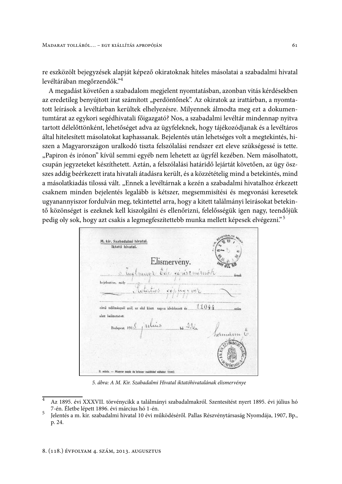re eszközölt bejegyzések alapját képező okiratoknak hiteles másolatai a szabadalmi hivatal levéltárában megőrzendők."<sup>4</sup>

A megadást követően a szabadalom megjelent nyomtatásban, azonban vitás kérdésekben az eredetileg benyújtott irat számított "perdöntőnek". Az okiratok az irattárban, a nyomtatott leírások a levéltárban kerültek elhelyezésre. Milyennek álmodta meg ezt a dokumentumtárat az egykori segédhivatali főigazgató? Nos, a szabadalmi levéltár mindennap nyitva tartott délelőttönként, lehetőséget adva az ügyfeleknek, hogy tájékozódjanak és a levéltáros által hitelesített másolatokat kaphassanak. Bejelentés után lehetséges volt a megtekintés, hiszen a Magyarországon uralkodó tiszta felszólalási rendszer ezt eleve szükségessé is tette. "Papiron és irónon" kívül semmi egyéb nem lehetett az ügyfél kezében. Nem másolhatott, csupán jegyzeteket készíthetett. Aztán, a felszólalási határidő lejártát követően, az ügy öszszes addig beérkezett irata hivatali átadásra került, és a közzétételig mind a betekintés, mind a másolatkiadás tilossá vált. "Ennek a levéltárnak a kezén a szabadalmi hivatalhoz érkezett csaknem minden bejelentés legalább is kétszer, megsemmisítési és megyonási keresetek ugyanannyiszor fordulván meg, tekintettel arra, hogy a kitett találmányi leirásokat betekintő közönséget is ezeknek kell kiszolgálni és ellenőrizni, felelősségük igen nagy, teendőjük pedig oly sok, hogy azt csakis a legmegfeszítettebb munka mellett képesek elvégezni."<sup>5</sup>



5. ábra: A M. Kir. Szabadalmi Hivatal iktatóhivatalának elismervénye

Az 1895. évi XXXVII. törvénycikk a találmányi szabadalmakról. Szentesítést nyert 1895. évi július hó 7-én. Életbe lépett 1896. évi március hó 1-én. 5

Jelentés a m. kir. szabadalmi hivatal 10 évi működéséről. Pallas Részvénytársaság Nyomdája, 1907, Bp., p. 24.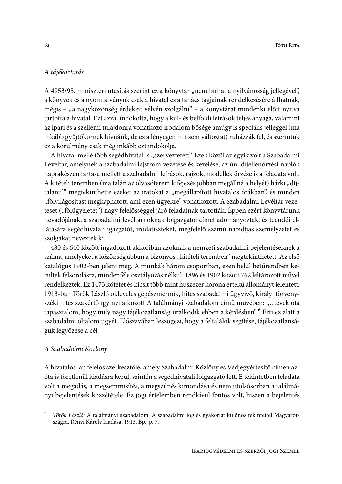### A tájékoztatás

A 4953/95. miniszteri utasítás szerint ez a könyvtár "nem bírhat a nyilvánosság jellegével", a könyvek és a nyomtatványok csak a hivatal és a tanács tagjainak rendelkezésére állhatnak, mégis - "a nagyközönség érdekeit vélvén szolgálni" - a könyvtárat mindenki előtt nyitva tartotta a hivatal. Ezt azzal indokolta, hogy a kül- és belföldi leírások teljes anyaga, valamint az ipari és a szellemi tulajdonra vonatkozó irodalom bősége amúgy is speciális jelleggel (ma inkább gyűjtőkörnek hívnánk, de ez a lényegen mit sem változtat) ruházzák fel, és szerintük ez a körülmény csak még inkább ezt indokolja.

A hivatal mellé több segédhivatal is "szerveztetett". Ezek közül az egyik volt a Szabadalmi Levéltár, amelynek a szabadalmi lajstrom vezetése és kezelése, az ún. díjellenőrzési naplók naprakészen tartása mellett a szabadalmi leírások, rajzok, modellek őrzése is a feladata volt. A kitételi teremben (ma talán az olvasóterem kifejezés jobban megállná a helyét) bárki "díjtalanul" megtekinthette ezeket az iratokat a "megállapított hivatalos órákban", és minden "fölvilágosítást megkaphatott, ami ezen ügyekre" vonatkozott. A Szabadalmi Levéltár vezetését ("fölügyeletét") nagy felelősséggel járó feladatnak tartották. Éppen ezért könyvtárunk névadójának, a szabadalmi levéltárnoknak főigazgatói címet adományoztak, és teendői ellátására segédhivatali igazgatót, irodatiszteket, megfelelő számú napidíjas személyzetet és szolgákat neveztek ki.

480 és 640 között ingadozott akkoriban azoknak a nemzeti szabadalmi bejelentéseknek a száma, amelyeket a közönség abban a bizonyos "kitételi teremben" megtekinthetett. Az első katalógus 1902-ben jelent meg. A munkák három csoportban, ezen belül betűrendben kerültek felsorolásra, mindenféle osztályozás nélkül. 1896 és 1902 között 762 leltározott művel rendelkeztek. Ez 1473 kötetet és kicsit több mint húszezer korona értékű állományt jelentett. 1913-ban Török László okleveles gépészmérnök, hites szabadalmi ügyvivő, királyi törvényszéki hites szakértő így nyilatkozott A találmányi szabadalom című művében: "...évek óta tapasztalom, hogy mily nagy tájékozatlanság uralkodik ebben a kérdésben". <sup>6</sup> Érti ez alatt a szabadalmi oltalom ügyét. Előszavában leszögezi, hogy a feltalálók segítése, tájékozatlanságuk legyőzése a cél.

### A Szabadalmi Közlöny

A hivatalos lap felelős szerkesztője, amely Szabadalmi Közlöny és Védjegyértesítő címen azóta is töretlenül kiadásra kerül, szintén a segédhivatali főigazgató lett. E tekintetben feladata volt a megadás, a megsemmisítés, a megszűnés kimondása és nem utolsósorban a találmányi bejelentések közzététele. Ez jogi értelemben rendkívül fontos volt, hiszen a bejelentés

 $\overline{6}$ Török László: A találmányi szabadalom. A szabadalmi jog és gyakorlat különös tekintettel Magyarországra. Rényi Károly kiadása, 1913, Bp., p. 7.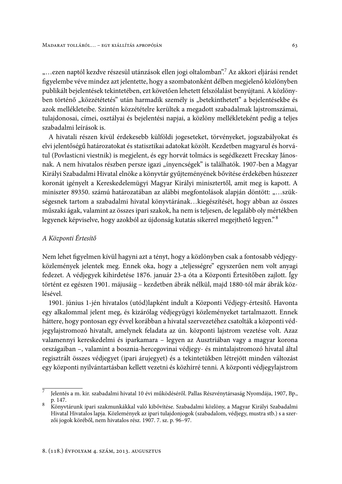"... ezen naptól kezdve részesül utánzások ellen jogi oltalomban". Az akkori eljárási rendet figyelembe véve mindez azt jelentette, hogy a szombatonként délben megjelenő közlönyben publikált bejelentések tekintetében, ezt követően lehetett felszólalást benyújtani. A közlönyben történő "közzététetés" után harmadik személy is "betekinthetett" a bejelentésekbe és azok mellékleteibe. Szintén közzétételre kerültek a megadott szabadalmak lajstromszámai, tulajdonosai, címei, osztályai és bejelentési napjai, a közlöny mellékleteként pedig a teljes szabadalmi leírások is.

A hivatali részen kívül érdekesebb külföldi jogeseteket, törvényeket, jogszabályokat és elvi jelentőségű határozatokat és statisztikai adatokat közölt. Kezdetben magyarul és horvátul (Povlasticni viestnik) is megjelent, és egy horvát tolmács is segédkezett Frecskay Jánosnak. A nem hivatalos részben persze igazi "ínyencségek" is találhatók. 1907-ben a Magyar Királyi Szabadalmi Hivatal elnöke a könyvtár gyűjteményének bővítése érdekében húszezer koronát igényelt a Kereskedelemügyi Magyar Királyi minisztertől, amit meg is kapott. A miniszter 89350. számú határozatában az alábbi megfontolások alapján döntött: "...szükségesnek tartom a szabadalmi hivatal könyvtárának...kiegészítését, hogy abban az összes műszaki ágak, valamint az összes ipari szakok, ha nem is teljesen, de legalább oly mértékben legyenek képviselve, hogy azokból az újdonság kutatás sikerrel megejthető legyen." <sup>8</sup>

#### A Központi Értesítő

Nem lehet figyelmen kívül hagyni azt a tényt, hogy a közlönyben csak a fontosabb védjegyközlemények jelentek meg. Ennek oka, hogy a "teljességre" egyszerűen nem volt anyagi fedezet. A védjegyek kihirdetése 1876. január 23-a óta a Központi Értesítőben zajlott. Így történt ez egészen 1901. májusáig – kezdetben ábrák nélkül, majd 1880-tól már ábrák közlésével.

1901. június 1-jén hivatalos (utód)lapként indult a Központi Védjegy-értesítő. Havonta egy alkalommal jelent meg, és kizárólag védjegyügyi közleményeket tartalmazott. Ennek háttere, hogy pontosan egy évvel korábban a hivatal szervezetéhez csatolták a központi védjegylajstromozó hivatalt, amelynek feladata az ún. központi lajstrom vezetése volt. Azaz valamennyi kereskedelmi és iparkamara - legyen az Ausztriában vagy a magyar korona országaiban -, valamint a bosznia-hercegovinai védjegy- és mintalajstromozó hivatal által regisztrált összes védjegyet (ipari árujegyet) és a tekintetükben létrejött minden változást egy központi nyilvántartásban kellett vezetni és közhírré tenni. A központi védjegylajstrom

<sup>7</sup> Jelentés a m. kir. szabadalmi hivatal 10 évi működéséről. Pallas Részvénytársaság Nyomdája, 1907, Bp., p. 147.

<sup>8</sup> Könvvtárunk ipari szakmunkákkal való kibővítése. Szabadalmi közlöny, a Magyar Királyi Szabadalmi Hivatal Hivatalos lapja. Közlemények az ipari tulajdonjogok (szabadalom, védjegy, mustra stb.) s a szerzői jogok köréből, nem hivatalos rész. 1907. 7. sz. p. 96-97.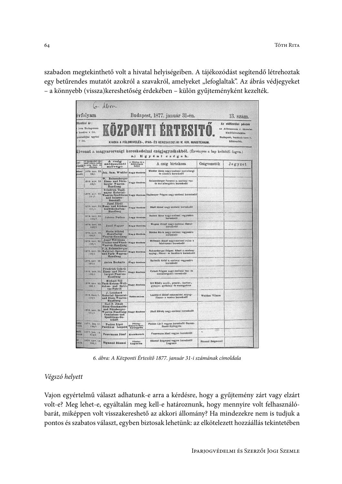szabadon megtekinthető volt a hivatal helyiségeiben. A tájékozódást segítendő létrehoztak egy betűrendes mutatót azokról a szavakról, amelyeket "lefoglaltak". Az ábrás védjegyeket - a könnyebb (vissza)kereshetőség érdekében - külön gyűjteményként kezelték.

| évfolyam              |                                                                            | Budapest, 1877. január 31-én.                                                                                                      |                                       |                                                                                                                                                                                                      | 13. szám.       |                                                                                                                 |
|-----------------------|----------------------------------------------------------------------------|------------------------------------------------------------------------------------------------------------------------------------|---------------------------------------|------------------------------------------------------------------------------------------------------------------------------------------------------------------------------------------------------|-----------------|-----------------------------------------------------------------------------------------------------------------|
| $7$ frt.              | 6fizetési ár:<br>Fivre Budapesten<br>z hordva 4 frt.<br>postadijjal együtt |                                                                                                                                    | a.)                                   | KÖZPONTI ERTESITÖ.<br>KIADIA A FÖLDMIVELÉS-, IPAR- ÉS KERESKEDELMI M. KIR. MINISTERIUM.<br>Kivonat a magyarországi kereskedelmi czégjegyzékekből. (Érvényes a lap keltétől fogva.)<br>Egyéni czégek. |                 | Az előtizetési pénzek<br>az Athenaeum r. társulat<br>kiadóhivatalába<br>Budnpest, barátok-tere 7.<br>küldenddk. |
| ly1<br>yszék          | A bejegyzést ren-<br>delő végzés kelle,<br>a ezég folyf- és<br>alurána     | A czég<br>szószerinti<br>szövege                                                                                                   | a főtelep és a<br>Bóktelepek<br>helye | A czeg birtokosa                                                                                                                                                                                     | Czegyezetok     | Jegyzet                                                                                                         |
| deal<br>vszák         | 96/1                                                                       | 1876, nov. 23. Joh. Sam. Winkler Nagy-Szeben                                                                                       |                                       | Winkler Meas nagy-szebeni norinbergi<br>de diszáru karaskedő                                                                                                                                         |                 |                                                                                                                 |
|                       | 1876, nov. 23<br>09/1                                                      | W. Reissenberger<br>Eisen- und Nürn-<br>berger Waaren-<br>Handlung                                                                 | Nagy-Szeben,                          | Reissenberger Ferencz n .- ausbeni van-<br>de norinbergiáru kareskedő                                                                                                                                |                 |                                                                                                                 |
|                       | 1876. nov. 23.<br>10/1                                                     | Friedrich Thall-<br>mayer Material-<br>und Incasso-<br>Geschäft                                                                    |                                       | Waaren-Speditions Negy Szeben Thallmayer Frigyes nagy-szebeni kereskedő                                                                                                                              |                 |                                                                                                                 |
|                       | 101/1                                                                      | Josef Jikeli<br>1875. nov. 23. Haus- und Kächen-<br>Geräthschaften-<br>Handlung                                                    | Nagy-Steben                           | likeli lózsai nagy-szebeni kereskedő.                                                                                                                                                                |                 |                                                                                                                 |
|                       | 1816, nov. 23.<br>102/1                                                    | Johann Dudass                                                                                                                      | Sugy-Szeben                           | Dudasz Jánus nagy-szebani vegyeskru<br>kareakedd                                                                                                                                                     |                 |                                                                                                                 |
|                       | 1876, nov. 23<br>102/1                                                     | Josef Wagner                                                                                                                       | Nagy-Seeben                           | Wagner Masel nagy-szebeni füszer-<br>kersakedő                                                                                                                                                       |                 |                                                                                                                 |
|                       | 1974, nary, 50.<br>104/1                                                   | Maria Sükösd<br>Manufactur<br>Waaren-Handlung                                                                                      | Nagy-Szeben                           | Sikösd Mária nagy-szebeni vegyssáro<br>karaskudd                                                                                                                                                     |                 |                                                                                                                 |
|                       | 1878, nov. 80.<br>105/1                                                    | Josef Wittmann<br>Kleider-und Wäsch-<br>Waaren-Haudlung                                                                            | Negy-Szeben                           | Wittmann Mzsel magy-sanbeni ruha- s<br>fehérnemű kereskedő                                                                                                                                           |                 |                                                                                                                 |
|                       | 1876. nov. 30<br>100/1                                                     | F. A. Reissenberger<br>Material-Spezerel-<br>und Farb- Waaren-<br>Handlung                                                         | Nagy-Szeben                           | Raisanberger Frigyes Albert n.-szebeni<br>anyag-, füster- és festékáró kereskedő                                                                                                                     |                 |                                                                                                                 |
|                       | 1876, nov. 30.<br>107/1                                                    | Anton Bechnitz                                                                                                                     | Nagy Szeben                           | Bechnitz Antal n -ezebeni vegyesáru<br>karnskedd                                                                                                                                                     | 1992 SUNY       |                                                                                                                 |
|                       | IB10, nov. 30.<br>108/1                                                    | Friedrich Czikeli<br>Eisen- und Nürn-<br>herger-Waaren-<br>Handlung                                                                | Nagy Seeben                           | Crikeli Friezes nagy-ezebeni vas- és<br>novinbergiaru kareskedo                                                                                                                                      |                 |                                                                                                                 |
|                       | 1876, nov. 30.<br>109/1                                                    | <b>Michael Sill</b><br>Tuch-Kotzen-Well-<br>deken- und Spiri-Nagy-Szeben<br><b>Ins-Fabrik</b>                                      |                                       | Sill Mindly exodi-, possió-, dardez-,<br>gyapju-, gyékény- és szaszgyáros                                                                                                                            |                 |                                                                                                                 |
|                       | 1010. decr. 7.<br>110/1                                                    | J. Leonhard<br>Material Spezerei-<br>und Eisen-Waaren-<br>Handlang                                                                 | <b>Szánzsebes</b>                     | Leonhard József szászsobesi anyag-<br>füszer- s vanáru hereskedő                                                                                                                                     | Welther Vilmos  |                                                                                                                 |
|                       | iB76, nov. 30.<br>111/1                                                    | Carl F. Jikeli<br>Eisen-Geschmeide<br>und Närnberger-<br>Waaren-Handlung-Nagy-Szebes<br>Comissions und<br>Speditions-Ge-<br>schäft |                                       | +11VO<br>likeli Károly nagy-szebeni kereskadó                                                                                                                                                        |                 |                                                                                                                 |
| röthi<br><b>Azdk</b>  | 1877. fan. 11<br>183/1                                                     | Paskus Lipót<br>Paschkus Leopold                                                                                                   | Postag:<br>Garam-Sur<br>Györgyön      | Paskes Lipit vegyes kereskedő Garam-<br>Szent-Györgyön                                                                                                                                               |                 |                                                                                                                 |
| méli<br><b>County</b> | 1977. jan. 18<br>212/1                                                     | Fenermann Jósaf                                                                                                                    | <b>Kecakemet</b>                      | Feuermann Jösef vegyes kerezkedő                                                                                                                                                                     | ÷.              |                                                                                                                 |
| iii<br><b>THEAM</b>   | 1876, nov. 13<br>186/1                                                     | <b>Sigmund Bäumel</b>                                                                                                              | Ffisley:<br>Lagoson                   | <b>Bäumel Zsigmond vegyes kereskedő</b><br>Lugnson                                                                                                                                                   | Bäumel Zeigmond |                                                                                                                 |

6. ábra: A Központi Értesítő 1877. január 31-i számának címoldala

## Végszó helyett

Vajon egyértelmű választ adhatunk-e arra a kérdésre, hogy a gyűjtemény zárt vagy elzárt volt-e? Meg lehet-e, egyáltalán meg kell-e határoznunk, hogy mennyire volt felhasználóbarát, miképpen volt visszakereshető az akkori állomány? Ha mindezekre nem is tudjuk a pontos és szabatos választ, egyben biztosak lehetünk: az elkötelezett hozzáállás tekintetében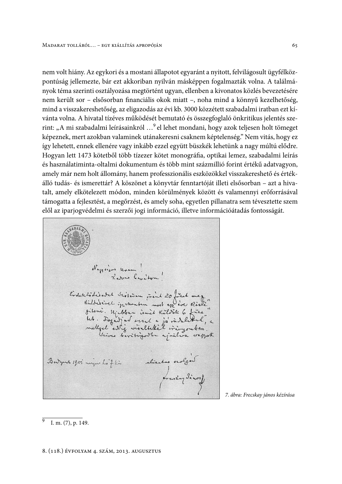nem volt hiány. Az egykori és a mostani állapotot egyaránt a nyitott, felvilágosult ügyfélközpontúság jellemezte, bár ezt akkoriban nyilván másképpen fogalmazták volna. A találmányok téma szerinti osztályozása megtörtént ugyan, ellenben a kivonatos közlés bevezetésére nem került sor - elsősorban financiális okok miatt -, noha mind a könnyű kezelhetőség, mind a visszakereshetőség, az eligazodás az évi kb. 3000 közzétett szabadalmi iratban ezt kívánta volna. A hivatal tízéves működését bemutató és összegfoglaló önkritikus jelentés szerint: "A mi szabadalmi leírásainkról ...<sup>9</sup> el lehet mondani, hogy azok teljesen holt tömeget képeznek, mert azokban valaminek utánakeresni csaknem képtelenség." Nem vitás, hogy ez így lehetett, ennek ellenére vagy inkább ezzel együtt büszkék lehetünk a nagy múltú elődre. Hogyan lett 1473 kötetből több tízezer kötet monográfia, optikai lemez, szabadalmi leírás és használatiminta-oltalmi dokumentum és több mint százmillió forint értékű adatvagyon, amely már nem holt állomány, hanem professzionális eszközökkel visszakereshető és értékálló tudás- és ismerettár? A köszönet a könyvtár fenntartóját illeti elsősorban – azt a hivatalt, amely elkötelezett módon, minden körülmények között és valamennyi erőforrásával támogatta a fejlesztést, a megőrzést, és amely soha, egyetlen pillanatra sem tévesztette szem elől az iparjogvédelmi és szerzői jogi információ, illetve információátadás fontosságát.

Negricos unam!<br>Rever limitor" Evolet Codisobel Sevision print 20 filed mez<br>Richelsine intention most en eve Riche"<br>Bitemi. Michaen ismit Külder 6 files "<br>het. Fogat al arral a joi indeltel" a<br>mellyel estig viveltekiel iringouber a aliantos orolgos Burgent 1905 migue his f. kin

7. ábra: Frecskay jános kézírása

I. m. (7), p. 149.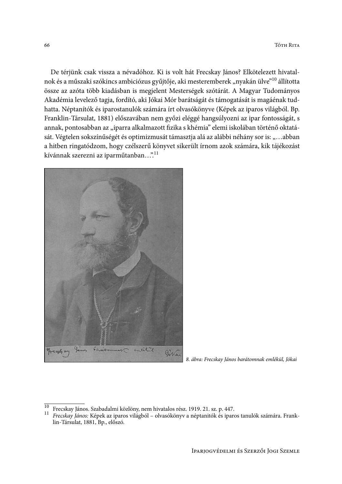De térjünk csak vissza a névadóhoz. Ki is volt hát Frecskay János? Elkötelezett hivatalnok és a műszaki szókincs ambiciózus gyűjtője, aki mesteremberek "nyakán ülve"<sup>10</sup> állította össze az azóta több kiadásban is megjelent Mesterségek szótárát. A Magyar Tudományos Akadémia levelező tagja, fordító, aki Jókai Mór barátságát és támogatását is magáénak tudhatta. Néptanítók és iparostanulók számára írt olvasókönyve (Képek az iparos világból. Bp. Franklin-Társulat, 1881) előszavában nem győzi eléggé hangsúlyozni az ipar fontosságát, s annak, pontosabban az "iparra alkalmazott fizika s khémia" elemi iskolában történő oktatását. Végtelen sokszínűségét és optimizmusát támasztja alá az alábbi néhány sor is: "...abban a hitben ringatódzom, hogy czélszerű könyvet sikerült írnom azok számára, kik tájékozást kívánnak szerezni az iparműtanban...".<br/>  $\mathstrut^{11}$ 



8. ábra: Frecskay János barátomnak emlékül, Jókai

 $\overline{10}$ Frecskay János. Szabadalmi közlöny, nem hivatalos rész. 1919. 21. sz. p. 447.

 $11$ Frecskay János: Képek az iparos világból - olvasókönyv a néptanitók és iparos tanulók számára. Franklin-Társulat, 1881, Bp., előszó.